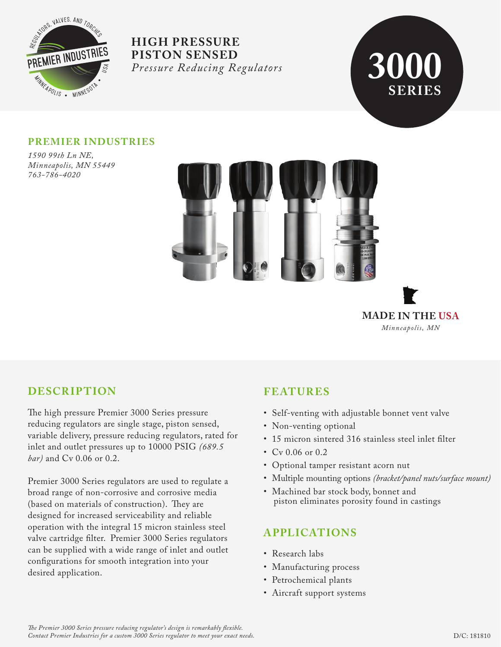



## **PREMIER INDUSTRIES**

*1590 99th Ln NE, Minneapolis, MN 55449 763-786-4020*





# **DESCRIPTION**

The high pressure Premier 3000 Series pressure reducing regulators are single stage, piston sensed, variable delivery, pressure reducing regulators, rated for inlet and outlet pressures up to 10000 PSIG *(689.5 bar)* and Cv 0.06 or 0.2.

Premier 3000 Series regulators are used to regulate a broad range of non-corrosive and corrosive media (based on materials of construction). They are designed for increased serviceability and reliable operation with the integral 15 micron stainless steel valve cartridge filter. Premier 3000 Series regulators can be supplied with a wide range of inlet and outlet configurations for smooth integration into your desired application.

# **FEATURES**

- Self-venting with adjustable bonnet vent valve
- Non-venting optional
- 15 micron sintered 316 stainless steel inlet filter
- Cv 0.06 or 0.2
- Optional tamper resistant acorn nut
- Multiple mounting options *(bracket/panel nuts/surface mount)*
- Machined bar stock body, bonnet and piston eliminates porosity found in castings

# **APPLICATIONS**

- Research labs
- Manufacturing process
- Petrochemical plants
- Aircraft support systems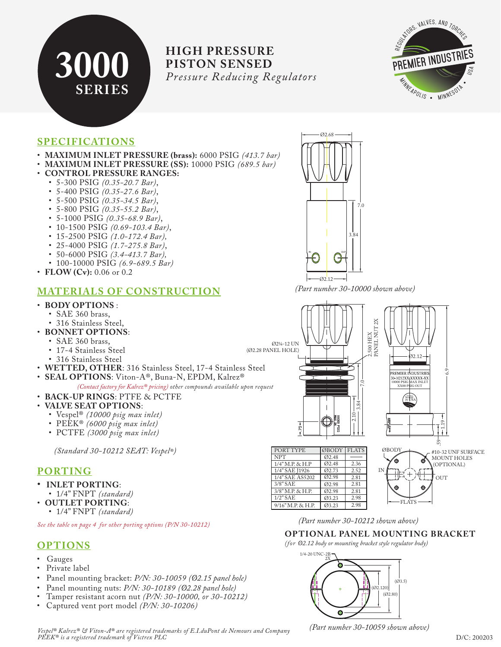



## **SPECIFICATIONS**

- **MAXIMUM INLET PRESSURE (brass):** 6000 PSIG *(413.7 bar)*
- **MAXIMUM INLET PRESSURE (SS):** 10000 PSIG *(689.5 bar)*
- **CONTROL PRESSURE RANGES:**
	- 5-300 PSIG *(0.35-20.7 Bar)*,
	- 5-400 PSIG *(0.35-27.6 Bar)*,
	- 5-500 PSIG *(0.35-34.5 Bar)*,
	- 5-800 PSIG *(0.35-55.2 Bar)*,
	- 5-1000 PSIG *(0.35-68.9 Bar)*,
	- 10-1500 PSIG *(0.69-103.4 Bar)*,
	- 15-2500 PSIG *(1.0-172.4 Bar),*
	- 25-4000 PSIG *(1.7-275.8 Bar)*,
	- 50-6000 PSIG *(3.4-413.7 Bar),*
	- 100-10000 PSIG *(6.9-689.5 Bar)*
	-
- **FLOW** (Cv): 0.06 or 0.2

## **MATERIALS OF CONSTRUCTION**

#### • **BODY OPTIONS** :

- SAE 360 brass,
- 316 Stainless Steel,
- **BONNET OPTIONS**:
	- SAE 360 brass,
	- 17-4 Stainless Steel
	- 316 Stainless Steel
- **WETTED, OTHER**: 316 Stainless Steel, 17-4 Stainless Steel
- **SEAL OPTIONS**: Viton-A®, Buna-N, EPDM, Kalrez®

 *(Contact factory for Kalrez® pricing) other compounds available upon request*

• **BACK-UP RINGS**: PTFE & PCTFE

#### • **VALVE SEAT OPTIONS**:

- Vespel® *(10000 psig max inlet)*
- PEEK® *(6000 psig max inlet)*
- PCTFE *(3000 psig max inlet)*

 *(Standard 30-10212 SEAT: Vespel®)*

### **PORTING**

- **INLET PORTING**:
- 1/4" FNPT *(standard)*
- **OUTLET PORTING**:
	- 1/4" FNPT *(standard)*

*See the table on page 4 for other porting options (P/N 30-10212)*

## **OPTIONS**

- Gauges
- Private label
- Panel mounting bracket: *P/N: 30-10059 (Ø2.15 panel hole)*
- Panel mounting nuts: *P/N: 30-10189 (Ø2.28 panel hole)*
- Tamper resistant acorn nut *(P/N: 30-10000, or 30-10212)*
- Captured vent port model *(P/N: 30-10206)*

 $\cdot$ Ø2.12 *(Part number 30-10000 shown above)*

 $\blacksquare$ 

Ø2.68

3.84

7.0



*(Part number 30-10212 shown above)*

2.98

Ø3.23

9/16" M.P. & H.P.

#### **OP TIONAL PANEL MOUNTING BRACKET**

FLATS

*(for Ø2.12 body or mounting bracket style regulator body)*



*(Part number 30-10059 shown above)*

*Vespel® Kalrez® & Viton-A® are registered trademarks of E.I.duPont de Nemours and Company PEEK® is a registered trademark of Victrex PLC* D/C: 200203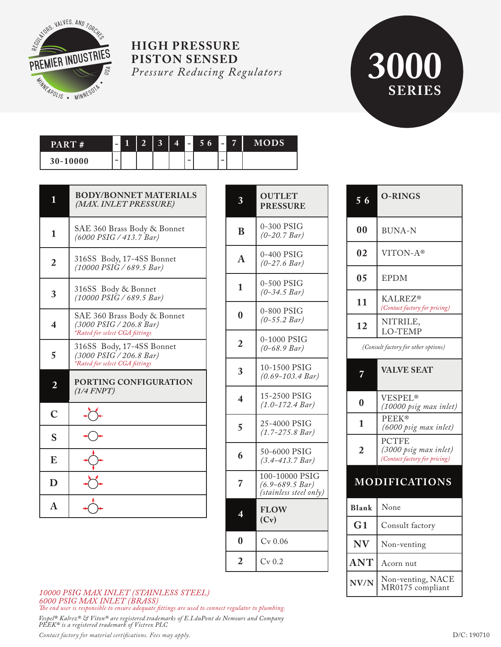

# **SERIES**

| PART#    | $\equiv$ | $\blacksquare$ | $\overline{2}$ | $\mathbf{R}$<br>w | $\Box$ 4' | l – I | 56 |   | 57 | MODS' |
|----------|----------|----------------|----------------|-------------------|-----------|-------|----|---|----|-------|
| 30-10000 | -        |                |                |                   |           | -     |    | - |    |       |

| Ш                       | <b>BODY/BONNET MATERIALS</b><br>(MAX. INLET PRESSURE)                                    | 3                            |
|-------------------------|------------------------------------------------------------------------------------------|------------------------------|
| $\mathbf{1}$            | SAE 360 Brass Body & Bonnet<br>(6000 PSIG / 413.7 Bar)                                   | B                            |
| $\overline{2}$          | 316SS Body, 17-4SS Bonnet<br>$(10000 \, PSIG / 689.5 \, Bar)$                            | $\overline{A}$               |
| 3                       | 316SS Body & Bonnet<br>$(10000 \, PSIG / 689.5 \, Bar)$                                  | $\mathbf{1}$                 |
| $\overline{\mathbf{4}}$ | SAE 360 Brass Body & Bonnet<br>(3000 PSIG / 206.8 Bar)<br>*Rated for select CGA fittings | $\bf{0}$                     |
| 5                       | 316SS Body, 17-4SS Bonnet<br>(3000 PSIG / 206.8 Bar)<br>*Rated for select CGA fittings   | $\overline{2}$               |
| $\overline{2}$          | PORTING CONFIGURATION<br>(1/4 FNPT)                                                      | 3<br>$\overline{\mathbf{4}}$ |
| $\overline{C}$          |                                                                                          |                              |
| S                       |                                                                                          | 5                            |
| E                       |                                                                                          | 6                            |
| D                       |                                                                                          | 7                            |
| A                       |                                                                                          | 4                            |

| 3                      | <b>OUTLET</b><br><b>PRESSURE</b>                                |
|------------------------|-----------------------------------------------------------------|
| B                      | 0-300 PSIG<br>$(0-20.7 Bar)$                                    |
| $\mathbf{A}$           | 0-400 PSIG<br>$(0-27.6 \; Bar)$                                 |
| 1                      | 0-500 PSIG<br>$(0-34.5 \, Bar)$                                 |
| $\bf{0}$               | 0-800 PSIG<br>$(0-55.2 Bar)$                                    |
| $\overline{2}$         | 0-1000 PSIG<br>$(0-68.9\,Bar)$                                  |
| 3                      | 10-1500 PSIG<br>$(0.69 - 103.4 Bar)$                            |
| $\boldsymbol{\Lambda}$ | 15-2500 PSIG<br>$(1.0 - 172.4 Bar)$                             |
| 5                      | 25-4000 PSIG<br>$(1.7 - 275.8 \text{ Bar})$                     |
| 6                      | 50-6000 PSIG<br>$(3.4 - 413.7 Bar)$                             |
| 7                      | 100-10000 PSIG<br>$(6.9 - 689.5 Bar)$<br>(stainless steel only) |
|                        | <b>FLOW</b><br>(Cv)                                             |
| $\bf{0}$               | $Cv$ 0.06                                                       |
| $\overline{2}$         | $Cv$ 0.2                                                        |

| 56             | <b>O-RINGS</b>                                                  |
|----------------|-----------------------------------------------------------------|
| 00             | <b>BUNA-N</b>                                                   |
| 02             | VITON-A®                                                        |
| 05             | <b>EPDM</b>                                                     |
| 11             | <b>KALREZ®</b><br>(Contact factory for pricing)                 |
| 12             | NITRILE,<br>LO-TEMP                                             |
|                | (Consult factory for other options)                             |
|                | <b>VALVE SEAT</b>                                               |
| 0              | VESPEL <sup>®</sup><br>(10000 psig max inlet)                   |
| 1              | <b>PEEK®</b><br>(6000 psig max inlet)                           |
| $\overline{2}$ | PCTFE<br>(3000 psig max inlet)<br>(Contact factory for pricing) |
|                | <b>MODIFICATIONS</b>                                            |
| <b>Blank</b>   | None                                                            |
| G <sub>1</sub> | Consult factory                                                 |
| <b>NV</b>      | Non-venting                                                     |
| $\mathbf{ANT}$ | Acorn nut                                                       |
| NV/N           | Non-venting, NACE<br>MR0175 compliant                           |

#### *10000 PSIG MAX INLET (STAINLESS STEEL) 6000 PSIG MAX INLET (BRASS)*

*e end user is responsible to ensure adequate ttings are used to connect regulator to plumbing.*

*Vespel® Kalrez® & Viton® are registered trademarks of E.I.duPont de Nemours and Company PEEK® is a registered trademark of Victrex PLC*